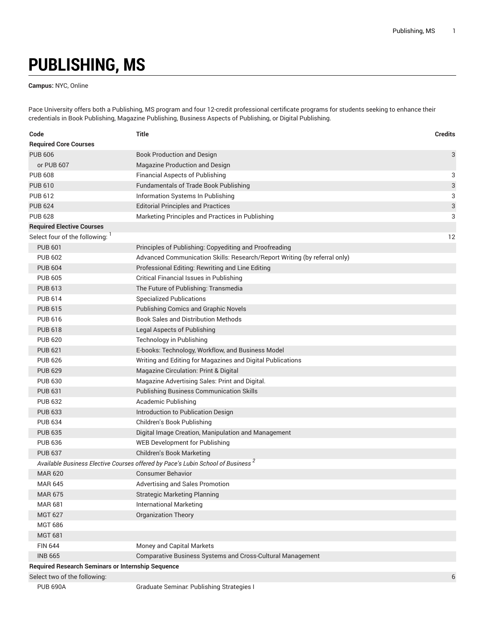## **PUBLISHING, MS**

**Campus:** NYC, Online

Pace University offers both a Publishing, MS program and four 12-credit professional certificate programs for students seeking to enhance their credentials in Book Publishing, Magazine Publishing, Business Aspects of Publishing, or Digital Publishing.

| Code                                                     | Title                                                                                       | <b>Credits</b> |
|----------------------------------------------------------|---------------------------------------------------------------------------------------------|----------------|
| <b>Required Core Courses</b>                             |                                                                                             |                |
| <b>PUB 606</b>                                           | <b>Book Production and Design</b>                                                           | 3              |
| or PUB 607                                               | Magazine Production and Design                                                              |                |
| <b>PUB 608</b>                                           | <b>Financial Aspects of Publishing</b>                                                      | 3              |
| <b>PUB 610</b>                                           | <b>Fundamentals of Trade Book Publishing</b>                                                | 3              |
| <b>PUB 612</b>                                           | Information Systems In Publishing                                                           | 3              |
| <b>PUB 624</b>                                           | <b>Editorial Principles and Practices</b>                                                   | 3              |
| <b>PUB 628</b>                                           | Marketing Principles and Practices in Publishing                                            | 3              |
| <b>Required Elective Courses</b>                         |                                                                                             |                |
| Select four of the following:                            |                                                                                             | 12             |
| <b>PUB 601</b>                                           | Principles of Publishing: Copyediting and Proofreading                                      |                |
| <b>PUB 602</b>                                           | Advanced Communication Skills: Research/Report Writing (by referral only)                   |                |
| <b>PUB 604</b>                                           | Professional Editing: Rewriting and Line Editing                                            |                |
| <b>PUB 605</b>                                           | Critical Financial Issues in Publishing                                                     |                |
| <b>PUB 613</b>                                           | The Future of Publishing: Transmedia                                                        |                |
| <b>PUB 614</b>                                           | <b>Specialized Publications</b>                                                             |                |
| <b>PUB 615</b>                                           | <b>Publishing Comics and Graphic Novels</b>                                                 |                |
| <b>PUB 616</b>                                           | <b>Book Sales and Distribution Methods</b>                                                  |                |
| <b>PUB 618</b>                                           | Legal Aspects of Publishing                                                                 |                |
| <b>PUB 620</b>                                           | <b>Technology in Publishing</b>                                                             |                |
| <b>PUB 621</b>                                           | E-books: Technology, Workflow, and Business Model                                           |                |
| <b>PUB 626</b>                                           | Writing and Editing for Magazines and Digital Publications                                  |                |
| <b>PUB 629</b>                                           | Magazine Circulation: Print & Digital                                                       |                |
| <b>PUB 630</b>                                           | Magazine Advertising Sales: Print and Digital.                                              |                |
| <b>PUB 631</b>                                           | <b>Publishing Business Communication Skills</b>                                             |                |
| <b>PUB 632</b>                                           | Academic Publishing                                                                         |                |
| <b>PUB 633</b>                                           | Introduction to Publication Design                                                          |                |
| <b>PUB 634</b>                                           | Children's Book Publishing                                                                  |                |
| <b>PUB 635</b>                                           | Digital Image Creation, Manipulation and Management                                         |                |
| <b>PUB 636</b>                                           | <b>WEB Development for Publishing</b>                                                       |                |
| <b>PUB 637</b>                                           | Children's Book Marketing                                                                   |                |
|                                                          | Available Business Elective Courses offered by Pace's Lubin School of Business <sup>2</sup> |                |
| <b>MAR 620</b>                                           | <b>Consumer Behavior</b>                                                                    |                |
| <b>MAR 645</b>                                           | Advertising and Sales Promotion                                                             |                |
| <b>MAR 675</b>                                           | <b>Strategic Marketing Planning</b>                                                         |                |
| <b>MAR 681</b>                                           | <b>International Marketing</b>                                                              |                |
| <b>MGT 627</b>                                           | <b>Organization Theory</b>                                                                  |                |
| <b>MGT 686</b>                                           |                                                                                             |                |
| <b>MGT 681</b>                                           |                                                                                             |                |
| <b>FIN 644</b>                                           | Money and Capital Markets                                                                   |                |
| <b>INB 665</b>                                           | Comparative Business Systems and Cross-Cultural Management                                  |                |
| <b>Required Research Seminars or Internship Sequence</b> |                                                                                             |                |
| Select two of the following:                             |                                                                                             | 6              |